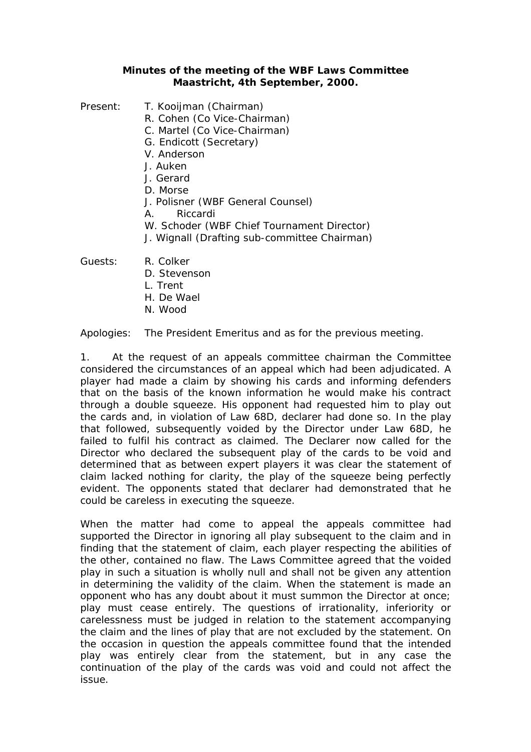## **Minutes of the meeting of the WBF Laws Committee Maastricht, 4th September, 2000.**

- Present: T. Kooijman (Chairman)
	- R. Cohen (Co Vice-Chairman)
	- C. Martel (Co Vice-Chairman)
	- G. Endicott (Secretary)
	- V. Anderson
	- J. Auken
	- J. Gerard
	- D. Morse
	- J. Polisner (WBF General Counsel)
	- A. Riccardi
	- W. Schoder (WBF Chief Tournament Director)
	- J. Wignall (Drafting sub-committee Chairman)
- Guests: R. Colker
	- D. Stevenson
	- L. Trent
	- H. De Wael
	- N. Wood

Apologies: The President Emeritus and as for the previous meeting.

1. At the request of an appeals committee chairman the Committee considered the circumstances of an appeal which had been adjudicated. A player had made a claim by showing his cards and informing defenders that on the basis of the known information he would make his contract through a double squeeze. His opponent had requested him to play out the cards and, in violation of Law 68D, declarer had done so. In the play that followed, subsequently voided by the Director under Law 68D, he failed to fulfil his contract as claimed. The Declarer now called for the Director who declared the subsequent play of the cards to be void and determined that as between expert players it was clear the statement of claim lacked nothing for clarity, the play of the squeeze being perfectly evident. The opponents stated that declarer had demonstrated that he could be careless in executing the squeeze.

When the matter had come to appeal the appeals committee had supported the Director in ignoring all play subsequent to the claim and in finding that the statement of claim, each player respecting the abilities of the other, contained no flaw. The Laws Committee agreed that the voided play in such a situation is wholly null and shall not be given any attention in determining the validity of the claim. When the statement is made an opponent who has any doubt about it must summon the Director at once; play must cease entirely. The questions of irrationality, inferiority or carelessness must be judged in relation to the statement accompanying the claim and the lines of play that are not excluded by the statement. On the occasion in question the appeals committee found that the intended play was entirely clear from the statement, but in any case the continuation of the play of the cards was void and could not affect the issue.